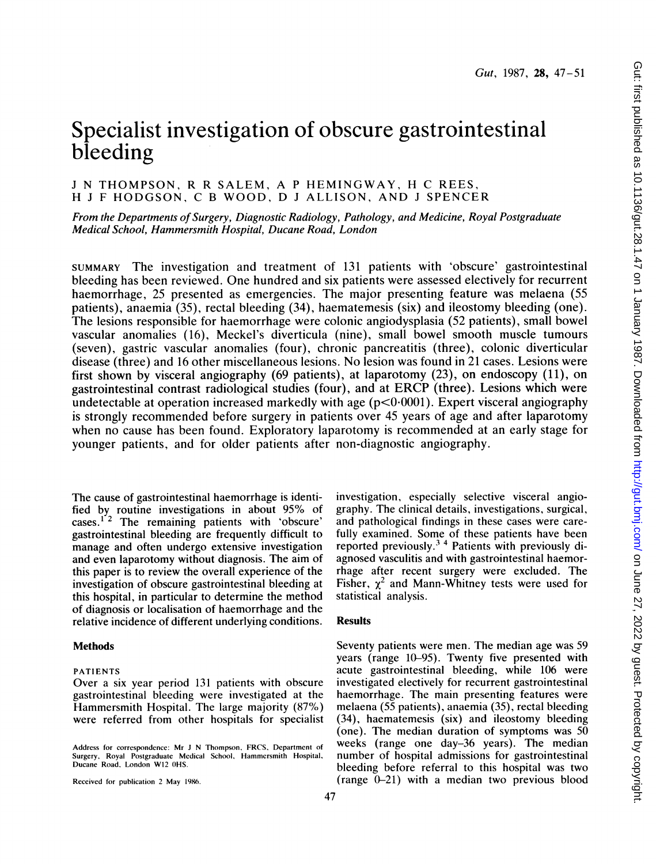# Gut: first published as 10.1136/gut.28.1.47 on 1 January 1987. Downloaded from http://gut.bmj.com/ on June 27, 2022 by guest. Protected by copyright. Gut: first published as 10.1136/gut.28.1.47 on 1 January 1987. Downloaded from <http://gut.bmj.com/> on June 27, 2022 by guest. Protected by copyright.

# Specialist investigation of obscure gastrointestinal bleeding

# <sup>J</sup> N THOMPSON, R R SALEM, A <sup>P</sup> HEMINGWAY, H C REES, H <sup>J</sup> <sup>F</sup> HODGSON, C <sup>B</sup> WOOD, D <sup>J</sup> ALLISON, AND <sup>J</sup> SPENCER

From the Departments of Surgery, Diagnostic Radiology, Pathology, and Medicine, Royal Postgraduate Medical School, Hammersmith Hospital, Ducane Road, London

SUMMARY The investigation and treatment of 131 patients with 'obscure' gastrointestinal bleeding has been reviewed. One hundred and six patients were assessed electively for recurrent haemorrhage, 25 presented as emergencies. The major presenting feature was melaena (55 patients), anaemia (35), rectal bleeding (34), haematemesis (six) and ileostomy bleeding (one). The lesions responsible for haemorrhage were colonic angiodysplasia (52 patients), small bowel vascular anomalies (16), Meckel's diverticula (nine), small bowel smooth muscle tumours (seven), gastric vascular anomalies (four), chronic pancreatitis (three), colonic diverticular disease (three) and <sup>16</sup> other miscellaneous lesions. No lesion was found in 21 cases. Lesions were first shown by visceral angiography (69 patients), at laparotomy (23), on endoscopy (11), on gastrointestinal contrast radiological studies (four), and at ERCP (three). Lesions which were undetectable at operation increased markedly with age  $(p<0.0001)$ . Expert visceral angiography is strongly recommended before surgery in patients over 45 years of age and after laparotomy when no cause has been found. Exploratory laparotomy is recommended at an early stage for younger patients, and for older patients after non-diagnostic angiography.

The cause of gastrointestinal haemorrhage is identified by routine investigations in about 95% of cases.<sup>1'2</sup> The remaining patients with 'obscure' gastrointestinal bleeding are frequently difficult to manage and often undergo extensive investigation and even laparotomy without diagnosis. The aim of this paper is to review the overall experience of the investigation of obscure gastrointestinal bleeding at this hospital, in particular to determine the method of diagnosis or localisation of haemorrhage and the relative incidence of different underlying conditions.

# Methods

### PATIENTS

Over a six year period 131 patients with obscure gastrointestinal bleeding were investigated at the Hammersmith Hospital. The large majority (87%) were referred from other hospitals for specialist

Received for publication 2 May 1986.

investigation, especially selective visceral angiography. The clinical details, investigations, surgical, and pathological findings in these cases were carefully examined. Some of these patients have been reported previously.3 <sup>4</sup> Patients with previously diagnosed vasculitis and with gastrointestinal haemorrhage after recent surgery were excluded. The Fisher,  $\chi^2$  and Mann-Whitney tests were used for statistical analysis.

# Results

Seventy patients were men. The median age was 59 years (range 10-95). Twenty five presented with acute gastrointestinal bleeding, while 106 were investigated electively for recurrent gastrointestinal haemorrhage. The main presenting features were melaena (55 patients), anaemia (35), rectal bleeding (34), haematemesis (six) and ileostomy bleeding (one). The median duration of symptoms was 50 weeks (range one day-36 years). The median number of hospital admissions for gastrointestinal bleeding before referral to this hospital was two (range 0-21) with a median two previous blood

Address for correspondence: Mr <sup>J</sup> N Thompson. FRCS, Department of Surgery, Royal Postgraduate Medical School. Hammcrsmith Hospital. Ducane Road, London W12 OHS.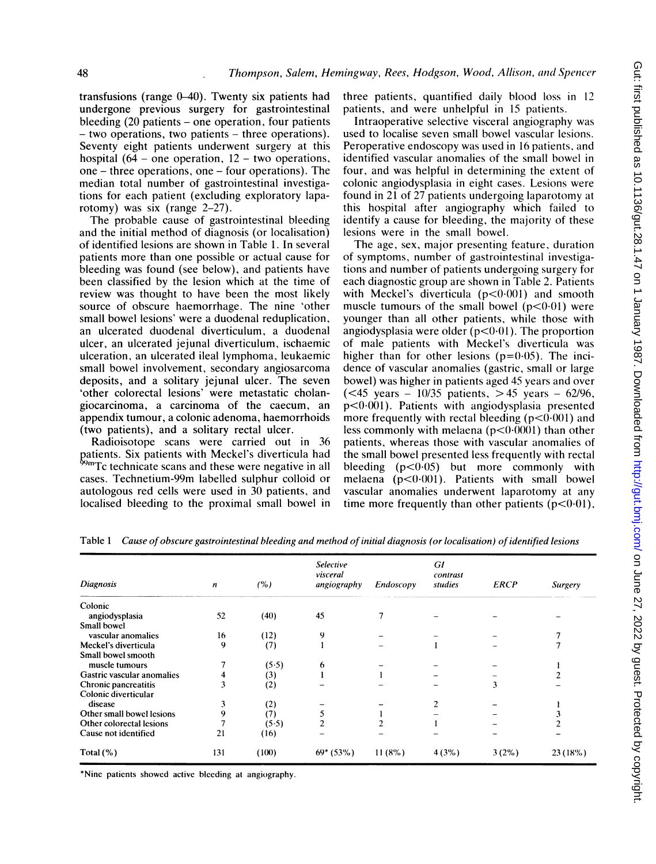transfusions (range  $0-40$ ). Twenty six patients had undergone previous surgery for gastrointestinal bleeding (20 patients - one operation, four patients - two operations, two patients - three operations). Seventy eight patients underwent surgery at this hospital (64 – one operation,  $12$  – two operations, one - three operations, one - four operations). The median total number of gastrointestinal investigations for each patient (excluding exploratory laparotomy) was six (range 2-27).

The probable cause of gastrointestinal bleeding and the initial method of diagnosis (or localisation) of identified lesions are shown in Table 1. In several patients more than one possible or actual cause for bleeding was found (see below), and patients have been classified by the lesion which at the time of review was thought to have been the most likely source of obscure haemorrhage. The nine 'other small bowel lesions' were a duodenal reduplication, an ulcerated duodenal diverticulum, a duodenal ulcer, an ulcerated jejunal diverticulum, ischaemic ulceration, an ulcerated ileal lymphoma, leukaemic small bowel involvement, secondary angiosarcoma deposits, and a solitary jejunal ulcer. The seven 'other colorectal lesions' were metastatic cholangiocarcinoma, a carcinoma of the caecum, an appendix tumour, a colonic adenoma, haemorrhoids (two patients), and a solitary rectal ulcer.

Radioisotope scans were carried out in 36 patients. Six patients with Meckel's diverticula had 99mTc technicate scans and these were negative in all cases. Technetium-99m labelled sulphur colloid or autologous red cells were used in 30 patients, and localised bleeding to the proximal small bowel in

three patients, quantified daily blood loss in 12 patients, and were unhelpful in 15 patients.

Intraoperative selective visceral angiography was used to localise seven small bowel vascular lesions. Peroperative endoscopy was used in 16 patients, and identified vascular anomalies of the small bowel in four, and was helpful in determining the extent of colonic angiodysplasia in eight cases. Lesions were found in 21 of 27 patients undergoing laparotomy at this hospital after angiography which failed to identify a cause for bleeding, the majority of these lesions were in the small bowel.

The age, sex, major presenting feature, duration of symptoms, number of gastrointestinal investigations and number of patients undergoing surgery for each diagnostic group are shown in Table 2. Patients with Meckel's diverticula  $(p<0.001)$  and smooth muscle tumours of the small bowel  $(p<0.01)$  were younger than all other patients, while those with angiodysplasia were older  $(p<0.01)$ . The proportion of male patients with Meckel's diverticula was higher than for other lesions  $(p=0.05)$ . The incidence of vascular anomalies (gastric, small or large bowel) was higher in patients aged 45 years and over (<45 years -  $10/35$  patients, >45 years -  $62/96$ ,  $p<0.001$ ). Patients with angiodysplasia presented more frequently with rectal bleeding  $(p<0.001)$  and less commonly with melaena  $(p<0.0001)$  than other patients, whereas those with vascular anomalies of the small bowel presented less frequently with rectal bleeding  $(p<0.05)$  but more commonly with melaena  $(p<0.001)$ . Patients with small bowel vascular anomalies underwent laparotomy at any time more frequently than other patients  $(p<0.01)$ ,

| Diagnosis                  | n   | (%)   | Selective<br>visceral<br>angiography | Endoscopy | GI<br>contrast<br>studies | <b>ERCP</b> | <b>Surgery</b> |
|----------------------------|-----|-------|--------------------------------------|-----------|---------------------------|-------------|----------------|
| Colonic                    |     |       |                                      |           |                           |             |                |
| angiodysplasia             | 52  | (40)  | 45                                   |           |                           |             |                |
| Small bowel                |     |       |                                      |           |                           |             |                |
| vascular anomalies         | 16  | (12)  | 9                                    |           |                           |             |                |
| Meckel's diverticula       | 9   | (7)   |                                      |           |                           |             |                |
| Small bowel smooth         |     |       |                                      |           |                           |             |                |
| muscle tumours             |     | (5.5) | 6                                    |           |                           |             |                |
| Gastric vascular anomalies |     | (3)   |                                      |           |                           |             |                |
| Chronic pancreatitis       |     | (2)   |                                      |           |                           | 3           |                |
| Colonic diverticular       |     |       |                                      |           |                           |             |                |
| disease                    | 3   | (2)   |                                      |           |                           |             |                |
| Other small bowel lesions  | 9   | (7)   |                                      |           |                           |             |                |
| Other colorectal lesions   |     | (5.5) |                                      |           |                           |             |                |
| Cause not identified       | 21  | (16)  |                                      |           |                           |             |                |
| Total $(\% )$              | 131 | (100) | $69*(53%)$                           | $11(8\%)$ | 4(3%)                     | $3(2\%)$    | 23(18%)        |

Table 1 Cause of obscure gastrointestinal bleeding and method of initial diagnosis (or localisation) of identified lesions

\*Nine patients showed active bleeding at angiography.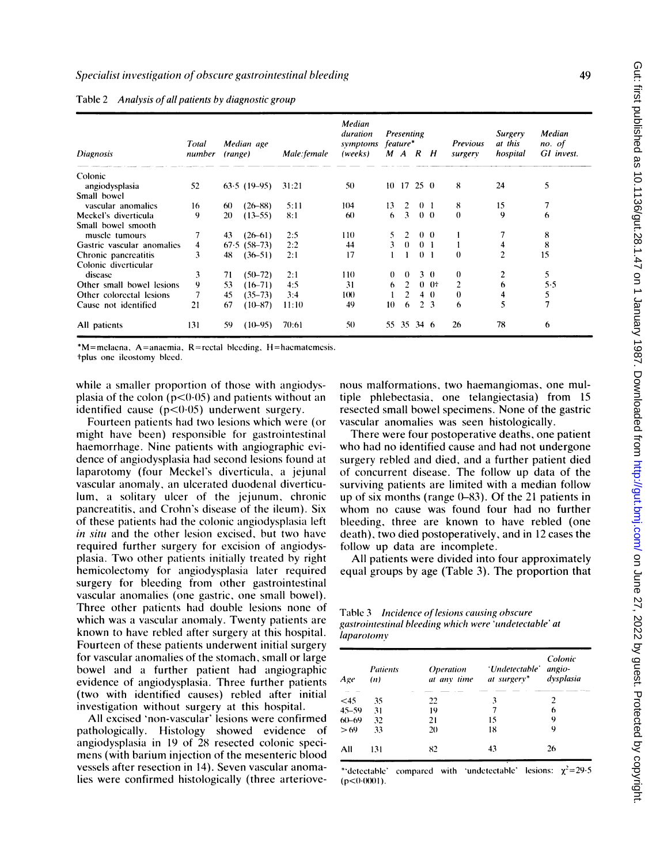| Diagnosis                  | Total<br>number | (range) | Median age     | Male: female | Median<br>duration<br>symptoms<br>(weeks) |    | Presenting<br>feature*<br>M A R H |                |                | <b>Previous</b><br>surgery | <b>Surgery</b><br>at this<br>hospital | Median<br>no. of<br>GI invest. |
|----------------------------|-----------------|---------|----------------|--------------|-------------------------------------------|----|-----------------------------------|----------------|----------------|----------------------------|---------------------------------------|--------------------------------|
| Colonic                    |                 |         |                |              |                                           |    |                                   |                |                |                            |                                       |                                |
| angiodysplasia             | 52              |         | $63.5$ (19-95) | 31:21        | 50                                        |    | $10 \t17 \t25 \t0$                |                |                | 8                          | 24                                    | 5                              |
| Small bowel                |                 |         |                |              |                                           |    |                                   |                |                |                            |                                       |                                |
| vascular anomalies         | 16              | 60      | $(26 - 88)$    | 5:11         | 104                                       | 13 | 2                                 | 0 <sub>1</sub> |                | 8                          | 15                                    |                                |
| Meckel's diverticula       | 9               | 20      | $(13 - 55)$    | 8:1          | 60                                        | 6  | 3                                 |                | 0 <sub>0</sub> | $\bf{0}$                   | 9                                     | 6                              |
| Small bowel smooth         |                 |         |                |              |                                           |    |                                   |                |                |                            |                                       |                                |
| muscle tumours             |                 | 43      | $(26-61)$      | 2:5          | 110                                       |    |                                   |                | 0 <sub>0</sub> |                            |                                       | 8                              |
| Gastric vascular anomalies | 4               | 67.5    | $(58 - 73)$    | 2:2          | 44                                        | 3  | $\theta$                          | 0 <sub>1</sub> |                |                            | 4                                     | 8                              |
| Chronic pancreatitis       | 3               | 48      | $(36 - 51)$    | 2:1          | 17                                        |    |                                   |                | 0 <sub>1</sub> | $\theta$                   | $\overline{c}$                        | 15                             |
| Colonic diverticular       |                 |         |                |              |                                           |    |                                   |                |                |                            |                                       |                                |
| disease                    | 3               | 71      | $(50 - 72)$    | 2:1          | 110                                       | 0  | $\Omega$                          |                | $3 \theta$     | $\theta$                   |                                       | 5                              |
| Other small bowel lesions  | 9               | 53      | $(16 - 71)$    | 4:5          | 31                                        | 6  | $\overline{2}$                    |                | $0 +$          | 2                          | 6                                     | 5.5                            |
| Other colorectal lesions   |                 | 45      | $(35 - 73)$    | 3:4          | 100                                       |    |                                   |                | $4 \; 0$       | $\theta$                   | 4                                     | 5                              |
| Cause not identified       | 21              | 67      | $(10 - 87)$    | 11:10        | 49                                        | 10 | 6                                 |                | 2 <sub>3</sub> | 6                          | 5                                     |                                |
| All patients               | 131             | 59      | $(10-95)$      | 70:61        | 50                                        |    | 55 35 34 6                        |                |                | 26                         | 78                                    | 6                              |
|                            |                 |         |                |              |                                           |    |                                   |                |                |                            |                                       |                                |

Table 2 Analysis of all patients by diagnostic group

 $*M$ =melaena, A=anaemia, R=rectal bleeding, H=haematemesis.

tplus one ileostomy bieed.

while a smaller proportion of those with angiodysplasia of the colon ( $p<0.05$ ) and patients without an identified cause (p<0-05) underwent surgery.

Fourteen patients had two lesions which were (or might have been) responsible for gastrointestinal haemorrhage. Nine patients with angiographic evidence of angiodysplasia had second lesions found at laparotomy (four Meckel's diverticula, a jejunal vascular anomaly, an ulcerated duodenal diverticulum, a solitary ulcer of the jejunum, chronic pancreatitis, and Crohn's disease of the ileum). Six of these patients had the colonic angiodysplasia left in situ and the other lesion excised, but two have required further surgery for excision of angiodysplasia. Two other patients initially treated by right hemicolectomy for angiodysplasia later required surgery for bleeding from other gastrointestinal vascular anomalies (one gastric, one small bowel). Three other patients had double lesions none of which was <sup>a</sup> vascular anomaly. Twenty patients are known to have rebled after surgery at this hospital. Fourteen of these patients underwent initial surgery for vascular anomalies of the stomach, small or large bowel and a further patient had angiographic evidence of angiodysplasia. Three further patients (two with identified causes) rebled after initial investigation without surgery at this hospital.

All excised 'non-vascular' lesions were confirmed pathologically. Histology showed evidence of angiodysplasia in 19 of 28 resected colonic specimens (with barium injection of the mesenteric blood vessels after resection in 14). Seven vascular anomalies were confirmed histologically (three arteriovenous malformations, two haemangiomas, one multiple phlebectasia, one telangiectasia) from 15 resected small bowel specimens. None of the gastric vascular anomalies was seen histologically.

There were four postoperative deaths, one patient who had no identified cause and had not undergone surgery rebled and died, and a further patient died of concurrent disease. The follow up data of the surviving patients are limited with a median follow up of six months (range  $(0-83)$ ). Of the 21 patients in whom no cause was found four had no further bleeding, three are known to have rebled (one death), two died postoperatively, and in 12 cases the follow up data are incomplete.

All patients were divided into four approximately equal groups by age (Table 3). The proportion that

Table 3 Incidence of lesions causing obscure gastrointestinal bleeding which were 'undetectable' at laparotomy

| Age       | <b>Patients</b><br>(n) | <i><b>Operation</b></i><br>at any time | 'Undetectable'<br>at surgery* | Colonic<br>angio-<br>dysplasia |  |
|-----------|------------------------|----------------------------------------|-------------------------------|--------------------------------|--|
| $<$ 45    | 35                     | 22                                     | 3                             | 2                              |  |
| $45 - 59$ | 31                     | 19                                     | 7                             | 6                              |  |
| $60 - 69$ | 32                     | 21                                     | 15                            | 9                              |  |
| >69       | 33                     | 20                                     | 18                            | 9                              |  |
| All       | 131                    | 82                                     | 43                            | 26                             |  |

\*'detectable' compared with 'undetectable' lesions:  $\chi^2$ =29.5  $(p<0.0001)$ .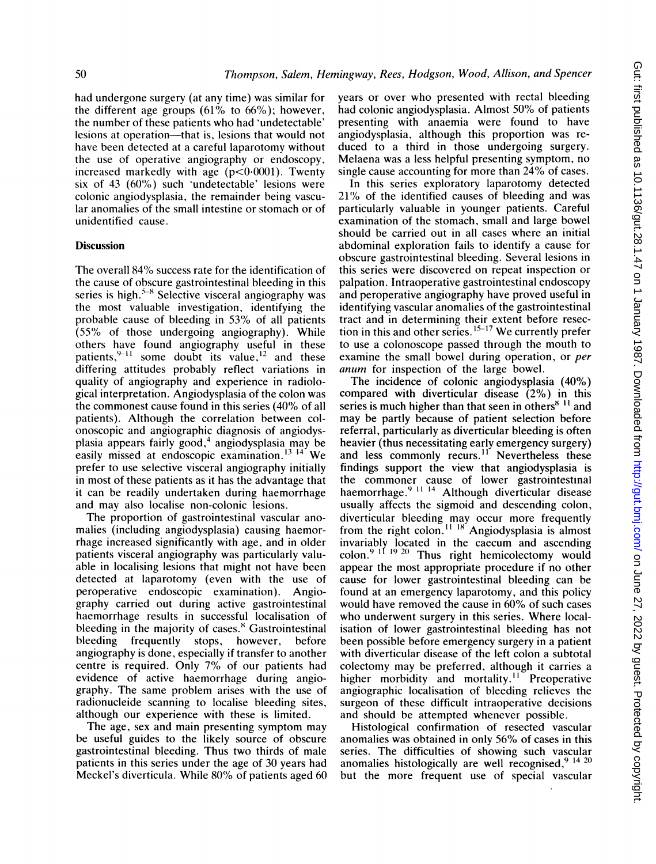had undergone surgery (at any time) was similar for the different age groups (61% to 66%); however, the number of these patients who had 'undetectable' lesions at operation—that is, lesions that would not have been detected at a careful laparotomy without the use of operative angiography or endoscopy, increased markedly with age  $(p<0.0001)$ . Twenty six of 43 (60%) such 'undetectable' lesions were colonic angiodysplasia, the remainder being vascular anomalies of the small intestine or stomach or of unidentified cause.

### **Discussion**

The overall 84% success rate for the identification of the cause of obscure gastrointestinal bleeding in this series is high.<sup>5-8</sup> Selective visceral angiography was the most valuable investigation, identifying the probable cause of bleeding in 53% of all patients (55% of those undergoing angiography). While others have found angiography useful in these patients,  $^{9-11}$  some doubt its value, <sup>12</sup> and these differing attitudes probably reflect variations in quality of angiography and experience in radiological interpretation. Angiodysplasia of the colon was the commonest cause found in this series (40% of all patients). Although the correlation between colonoscopic and angiographic diagnosis of angiodysplasia appears fairly good,<sup>4</sup> angiodysplasia may be easily missed at endoscopic examination.<sup>13 14</sup> We prefer to use selective visceral angiography initially in most of these patients as it has the advantage that it can be readily undertaken during haemorrhage and may also localise non-colonic lesions.

The proportion of gastrointestinal vascular anomalies (including angiodysplasia) causing haemorrhage increased significantly with age, and in older patients visceral angiography was particularly valuable in localising lesions that might not have been detected at laparotomy (even with the use of peroperative endoscopic examination). Angiography carried out during active gastrointestinal haemorrhage results in successful localisation of bleeding in the majority of cases.<sup>8</sup> Gastrointestinal bleeding frequently stops, however, before angiography is done, especially if transfer to another centre is required. Only 7% of our patients had evidence of active haemorrhage during angiography. The same problem arises with the use of radionucleide scanning to localise bleeding sites, although our experience with these is limited.

The age, sex and main presenting symptom may be useful guides to the likely source of obscure gastrointestinal bleeding. Thus two thirds of male patients in this series under the age of 30 years had Meckel's diverticula. While 80% of patients aged 60 years or over who presented with rectal bleeding had colonic angiodysplasia. Almost 50% of patients presenting with anaemia were found to have angiodysplasia, although this proportion was reduced to a third in those undergoing surgery. Melaena was a less helpful presenting symptom, no single cause accounting for more than 24% of cases.

In this series exploratory laparotomy detected 21% of the identified causes of bleeding and was particularly valuable in younger patients. Careful examination of the stomach, small and large bowel should be carried out in all cases where an initial abdominal exploration fails to identify a cause for obscure gastrointestinal bleeding. Several lesions in this series were discovered on repeat inspection or palpation. Intraoperative gastrointestinal endoscopy and peroperative angiography have proved useful in identifying vascular anomalies of the gastrointestinal tract and in determining their extent before resec-tion in this and other series. 15-17 We currently prefer to use a colonoscope passed through the mouth to examine the small bowel during operation, or per anum for inspection of the large bowel.

The incidence of colonic angiodysplasia (40%) compared with diverticular disease (2%) in this series is much higher than that seen in others $811$  and may be partly because of patient selection before referral, particularly as diverticular bleeding is often heavier (thus necessitating early emergency surgery) and less commonly recurs.<sup>11</sup> Nevertheless these findings support the view that angiodysplasia is the commoner cause of lower gastrointestinal haemorrhage.9 ii <sup>14</sup> Although diverticular disease usually affects the sigmoid and descending colon, diverticular bleeding may occur more frequently from the right colon." <sup>16</sup> Angiodysplasia is almost invariably located in the caecum and ascending colon.<sup>9 ii 19 20</sup> Thus right hemicolectomy would appear the most appropriate procedure if no other cause for lower gastrointestinal bleeding can be found at an emergency laparotomy, and this policy would have removed the cause in 60% of such cases who underwent surgery in this series. Where localisation of lower gastrointestinal bleeding has not been possible before emergency surgery in a patient with diverticular disease of the left colon a subtotal colectomy may be preferred, although it carries a higher morbidity and mortality.<sup>11</sup> Preoperative angiographic localisation of bleeding relieves the surgeon of these difficult intraoperative decisions and should be attempted whenever possible.

Histological confirmation of resected vascular anomalies was obtained in only 56% of cases in this series. The difficulties of showing such vascular anomalies histologically are well recognised,  $9^{14}$   $20$ but the more frequent use of special vascular